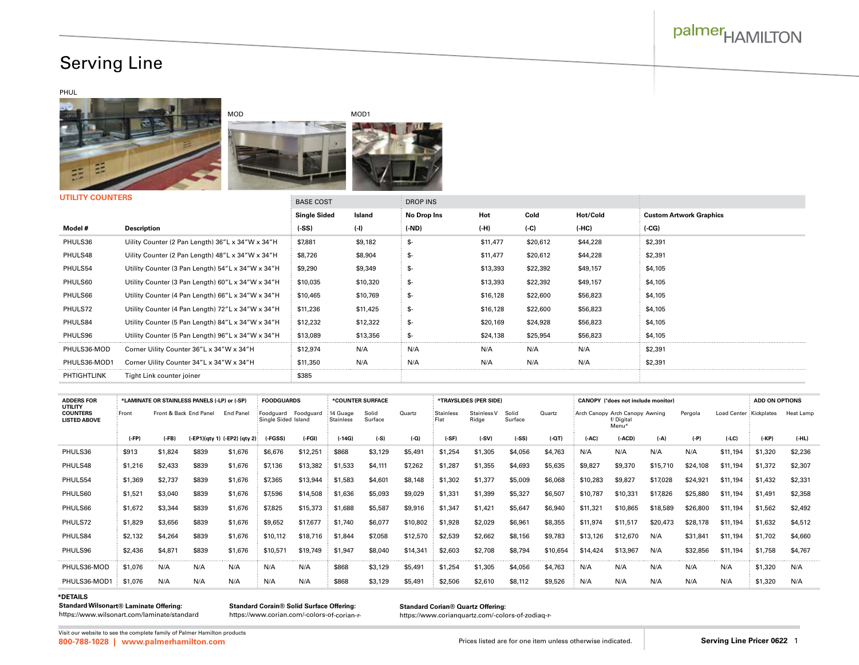# palmer<sub>HAMILTON</sub>

## Serving Line

#### PHUL







**UTILITY COUNTERS**

| <b>UTILIT WUUNTENS</b> |                                                   | <b>BASE COST</b>    |          | <b>DROP INS</b> |          |          |          |                                |  |
|------------------------|---------------------------------------------------|---------------------|----------|-----------------|----------|----------|----------|--------------------------------|--|
|                        |                                                   | <b>Single Sided</b> | Island   | No Drop Ins     | Hot      | Cold     | Hot/Cold | <b>Custom Artwork Graphics</b> |  |
| Model #                | <b>Description</b>                                | $(-SS)$             | $(-1)$   | $(-ND)$         | $(-H)$   | $(-C)$   | $(-HC)$  | (CG)                           |  |
| PHULS36                | Uility Counter (2 Pan Length) 36"L x 34"W x 34"H  | \$7,881             | \$9,182  | \$-             | \$11,477 | \$20,612 | \$44,228 | \$2,391                        |  |
| PHULS48                | Uility Counter (2 Pan Length) 48"L x 34"W x 34"H  | \$8,726             | \$8,904  | \$-             | \$11,477 | \$20,612 | \$44,228 | \$2,391                        |  |
| PHULS54                | Utility Counter (3 Pan Length) 54"L x 34"W x 34"H | \$9,290             | \$9,349  | -£              | \$13,393 | \$22,392 | \$49,157 | \$4,105                        |  |
| PHULS60                | Utility Counter (3 Pan Length) 60"L x 34"W x 34"H | \$10,035            | \$10,320 | \$-             | \$13,393 | \$22,392 | \$49,157 | \$4,105                        |  |
| PHULS66                | Utility Counter (4 Pan Length) 66"L x 34"W x 34"H | \$10,465            | \$10,769 | \$-             | \$16,128 | \$22,600 | \$56,823 | \$4,105                        |  |
| PHULS72                | Utility Counter (4 Pan Length) 72"L x 34"W x 34"H | \$11,236            | \$11,425 | \$-             | \$16,128 | \$22,600 | \$56,823 | \$4,105                        |  |
| PHULS84                | Utility Counter (5 Pan Length) 84"L x 34"W x 34"H | \$12,232            | \$12,322 | -£              | \$20,169 | \$24,928 | \$56,823 | \$4,105                        |  |
| PHULS96                | Utility Counter (5 Pan Length) 96"L x 34"W x 34"H | \$13,089            | \$13,356 |                 | \$24,138 | \$25,954 | \$56,823 | \$4,105                        |  |
| PHULS36-MOD            | Corner Uility Counter 36"L x 34"W x 34"H          | \$12,974            | N/A      | N/A             | N/A      | N/A      | N/A      | \$2,391                        |  |
| PHULS36-MOD1           | Corner Uility Counter 34"L x 34"W x 34"H          | \$11,350            | N/A      | N/A             | N/A      | N/A      | N/A      | \$2,391                        |  |
| <b>PHTIGHTLINK</b>     | Tight Link counter joiner                         | \$385               |          |                 |          |          |          |                                |  |

| <b>ADDERS FOR</b><br>UTILITY           |         | *LAMINATE OR STAINLESS PANELS (-LP) or (-SP)<br><b>FOODGUARDS</b><br>*COUNTER SURFACE |                        |                              |                                            | *TRAYSLIDES (PER SIDE) |                       |                  |          | <b>CANOPY (*does not include monitor)</b> |                      |                  |          |                                |                    | <b>ADD ON OPTIONS</b> |          |                        |         |           |
|----------------------------------------|---------|---------------------------------------------------------------------------------------|------------------------|------------------------------|--------------------------------------------|------------------------|-----------------------|------------------|----------|-------------------------------------------|----------------------|------------------|----------|--------------------------------|--------------------|-----------------------|----------|------------------------|---------|-----------|
| <b>COUNTERS</b><br><b>LISTED ABOVE</b> | Front   |                                                                                       | Front & Back End Panel | End Panel                    | Foodguard Foodguard<br>Single Sided Island |                        | 14 Guage<br>Stainless | Solid<br>Surface | Quartz   | Stainless<br>Flat                         | Stainless V<br>Ridge | Solid<br>Surface | Quartz   | Arch Canopy Arch Canopy Awning | f/Digital<br>Menu* |                       | Pergola  | Load Center Kickplates |         | Heat Lamp |
|                                        | $(-FP)$ | $(-FB)$                                                                               |                        | (-EP1)(qty 1) (-EP2) (qty 2) | (-FGSS)                                    | $(-FGI)$               | (-14G)                | $(-S)$           | $(-Q)$   | $(-SF)$                                   | $(-SV)$              | $(-SS)$          | $(-QT)$  | $(-AC)$                        | $(-ACD)$           | $(-A)$                | $(-P)$   | $(-LC)$                | (-KP)   | $(-HL)$   |
| PHULS36                                | \$913   | \$1,824                                                                               | \$839                  | \$1,676                      | \$6,676                                    | \$12,251               | \$868                 | \$3,129          | \$5,491  | \$1,254                                   | \$1,305              | \$4,056          | \$4,763  | N/A                            | N/A                | N/A                   | N/A      | \$11,194               | \$1,320 | \$2,236   |
| PHULS48                                | \$1,216 | \$2,433                                                                               | \$839                  | \$1,676                      | \$7.136                                    | \$13,382               | \$1,533               | \$4,111          | \$7,262  | \$1,287                                   | \$1,355              | \$4,693          | \$5,635  | \$9,827                        | \$9,370            | \$15,710              | \$24,108 | \$11,194               | \$1,372 | \$2,307   |
| PHULS54                                | \$1,369 | \$2,737                                                                               | \$839                  | \$1,676                      | \$7,365                                    | \$13,944               | \$1,583               | \$4,601          | \$8,148  | \$1,302                                   | \$1,377              | \$5,009          | \$6,068  | \$10,283                       | \$9,827            | \$17,028              | \$24.921 | \$11,194               | \$1,432 | \$2,331   |
| PHULS60                                | \$1,521 | \$3,040                                                                               | \$839                  | \$1,676                      | \$7,596                                    | \$14,508               | \$1,636               | \$5,093          | \$9,029  | \$1,331                                   | \$1,399              | \$5,327          | \$6,507  | \$10,787                       | \$10,331           | \$17.826              | \$25,880 | \$11,194               | \$1,491 | \$2,358   |
| PHULS66                                | \$1,672 | \$3,344                                                                               | \$839                  | \$1,676                      | \$7.825                                    | \$15,373               | \$1,688               | \$5,587          | \$9,916  | \$1,347                                   | \$1,421              | \$5,647          | \$6,940  | \$11,321                       | \$10,865           | \$18,589              | \$26,800 | \$11,194               | \$1,562 | \$2,492   |
| PHULS72                                | \$1,829 | \$3,656                                                                               | \$839                  | \$1,676                      | \$9,652                                    | \$17,677               | \$1,740               | \$6,077          | \$10,802 | \$1,928                                   | \$2,029              | \$6,961          | \$8,355  | \$11,974                       | \$11,517           | \$20.473              | \$28,178 | \$11,194               | \$1,632 | \$4,512   |
| PHULS84                                | \$2,132 | \$4,264                                                                               | \$839                  | \$1,676                      | \$10.112                                   | \$18,716               | \$1,844               | \$7,058          | \$12,570 | \$2,539                                   | \$2,662              | \$8,156          | \$9,783  | \$13,126                       | \$12,670           | N/A                   | \$31.841 | \$11,194               | \$1,702 | \$4,660   |
| PHULS96                                | \$2,436 | \$4,871                                                                               | \$839                  | \$1,676                      | \$10,571                                   | \$19,749               | \$1,947               | \$8,040          | \$14,341 | \$2,603                                   | \$2,708              | \$8,794          | \$10,654 | \$14,424                       | \$13,967           | N/A                   | \$32,856 | \$11,194               | \$1,758 | \$4,767   |
| PHULS36-MOD                            | \$1,076 | N/A                                                                                   | N/A                    | N/A                          | N/A                                        | N/A                    | \$868                 | \$3,129          | \$5,491  | \$1,254                                   | \$1,305              | \$4,056          | \$4,763  | N/A                            | N/A                | N/A                   | N/A      | N/A                    | \$1,320 | N/A       |
| PHULS36-MOD1                           | \$1,076 | N/A                                                                                   | N/A                    | N/A                          | N/A                                        | N/A                    | \$868                 | \$3,129          | \$5,491  | \$2,506                                   | \$2,610              | \$8,112          | \$9,526  | N/A                            | N/A                | N/A                   | N/A      | N/A                    | \$1,320 | N/A       |

### **\*DETAILS**

**Standard Wilsonart® Laminate Offering:** https://www.wilsonart.com/laminate/standard

**Standard Corain® Solid Surface Offering:** https://www.corian.com/-colors-of-corian-r**Standard Corian® Quartz Offering:** 

https://www.corianquartz.com/-colors-of-zodiaq-r-

**800-788-1028 | [www.palmerhamilton.com](https://palmerhamilton.com)** Prices listed are for one item unless otherwise indicated. **Serving Line Pricer 0622** 1 Visit our website to see the complete family of Palmer Hamilton products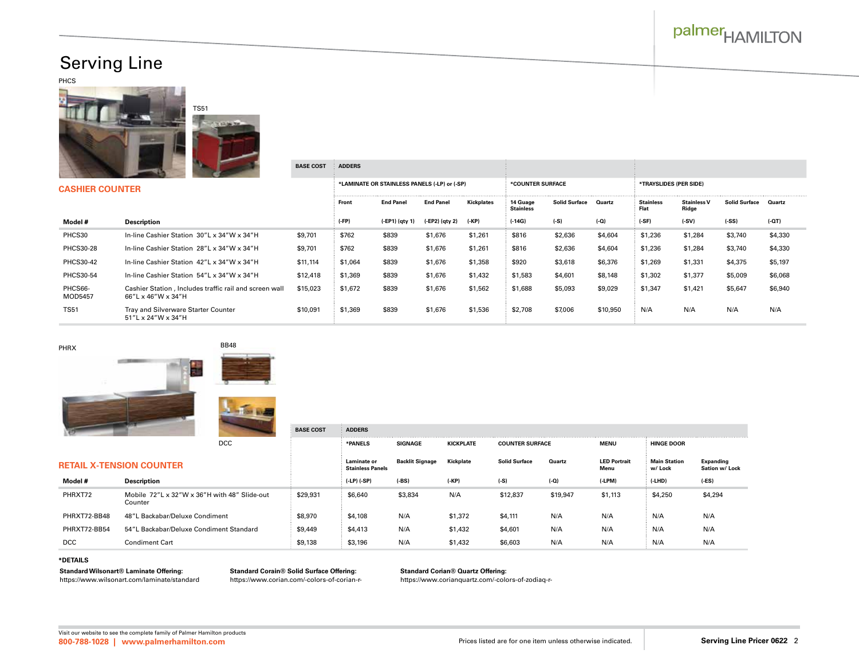# palmer<sub>HAMILTON</sub>

## Serving Line

PHCS





### CAS

| <b>CASHIER COUNTER</b> |                                                                              |          |         | *LAMINATE OR STAINLESS PANELS (-LP) or (-SP) |                  |            | *COUNTER SURFACE             |                      |          | *TRAYSLIDES (PER SIDE)   |                             |                      |         |  |
|------------------------|------------------------------------------------------------------------------|----------|---------|----------------------------------------------|------------------|------------|------------------------------|----------------------|----------|--------------------------|-----------------------------|----------------------|---------|--|
|                        |                                                                              |          | Front   | <b>End Panel</b>                             | <b>End Panel</b> | Kickplates | 14 Guage<br><b>Stainless</b> | <b>Solid Surface</b> | Quartz   | <b>Stainless</b><br>Flat | <b>Stainless V</b><br>Ridge | <b>Solid Surface</b> | Quartz  |  |
| Model #                | <b>Description</b>                                                           |          | $(-FP)$ | $(-EP1)$ (qty 1)                             | (-EP2) (qty 2)   | (-KP)      | $(-14G)$                     | (-S)                 | $(-Q)$   | $(-SF)$                  | $(-SV)$                     | $(-SS)$              | $(-QT)$ |  |
| PHCS30                 | In-line Cashier Station 30"L x 34"W x 34"H                                   | \$9,701  | \$762   | \$839                                        | \$1,676          | \$1,261    | \$816                        | \$2,636              | \$4,604  | \$1,236                  | \$1,284                     | \$3,740              | \$4,330 |  |
| <b>PHCS30-28</b>       | In-line Cashier Station 28"L x 34"W x 34"H                                   | \$9,701  | \$762   | \$839                                        | \$1,676          | \$1,261    | \$816                        | \$2,636              | \$4,604  | \$1,236                  | \$1,284                     | \$3,740              | \$4,330 |  |
| <b>PHCS30-42</b>       | In-line Cashier Station 42"L x 34"W x 34"H                                   | \$11,114 | \$1,064 | \$839                                        | \$1,676          | \$1,358    | \$920                        | \$3,618              | \$6,376  | \$1,269                  | \$1,331                     | \$4,375              | \$5,197 |  |
| <b>PHCS30-54</b>       | In-line Cashier Station 54"L x 34"W x 34"H                                   | \$12,418 | \$1,369 | \$839                                        | \$1,676          | \$1,432    | \$1,583                      | \$4,601              | \$8,148  | \$1,302                  | \$1,377                     | \$5,009              | \$6,068 |  |
| PHCS66-<br>MOD5457     | Cashier Station, Includes traffic rail and screen wall<br>66"L x 46"W x 34"H | \$15,023 | \$1,672 | \$839                                        | \$1,676          | \$1,562    | \$1,688                      | \$5,093              | \$9,029  | \$1,347                  | \$1,421                     | \$5,647              | \$6,940 |  |
| <b>TS51</b>            | Tray and Silverware Starter Counter<br>51"L x 24"W x 34"H                    | \$10,091 | \$1,369 | \$839                                        | \$1,676          | \$1,536    | \$2,708                      | \$7,006              | \$10,950 | N/A                      | N/A                         | N/A                  | N/A     |  |





DCC

|              | <b>RETAIL X-TENSION COUNTER</b>                         |          | Laminate or<br><b>Stainless Panels</b> | <b>Backlit Signage</b> | Kickplate | <b>Solid Surface</b> | Quartz   | <b>LED Portrait</b><br>Menu | Main Station<br>w/ Lock | Expanding<br>Sation w/ Lock |
|--------------|---------------------------------------------------------|----------|----------------------------------------|------------------------|-----------|----------------------|----------|-----------------------------|-------------------------|-----------------------------|
| Model #      | Description                                             |          | $( -LP)$ $(-SP)$                       | $(-BS)$                | $(-KP)$   | $(-S)$               | $(-Q)$   | (-LPM)                      | $(-LHD)$                | $(-ES)$                     |
| PHRXT72      | Mobile 72"L x 32"W x 36"H with 48" Slide-out<br>Counter | \$29,931 | \$6,640                                | \$3,834                | N/A       | \$12,837             | \$19,947 | \$1,113                     | \$4,250                 | \$4,294                     |
| PHRXT72-BB48 | 48"L Backabar/Deluxe Condiment                          | \$8,970  | \$4,108                                | N/A                    | \$1,372   | \$4,111              | N/A      | N/A                         | N/A                     | N/A                         |
| PHRXT72-BB54 | 54"L Backabar/Deluxe Condiment Standard                 | \$9,449  | \$4,413                                | N/A                    | \$1,432   | \$4,601              | N/A      | N/A                         | N/A                     | N/A                         |
| <b>DCC</b>   | <b>Condiment Cart</b>                                   | \$9,138  | \$3,196                                | N/A                    | \$1,432   | \$6,603              | N/A      | N/A                         | N/A                     | N/A                         |

#### **\*DETAILS**

**Standard Wilsonart® Laminate Offering:** https://www.wilsonart.com/laminate/standard **Standard Corain® Solid Surface Offering:** https://www.corian.com/-colors-of-corian-r-

**BASE COST ADDERS**

**BASE COST ADDERS**

**Standard Corian® Quartz Offering:** 

https://www.corianquartz.com/-colors-of-zodiaq-r-

**\*PANELS SIGNAGE KICKPLATE COUNTER SURFACE MENU HINGE DOOR**